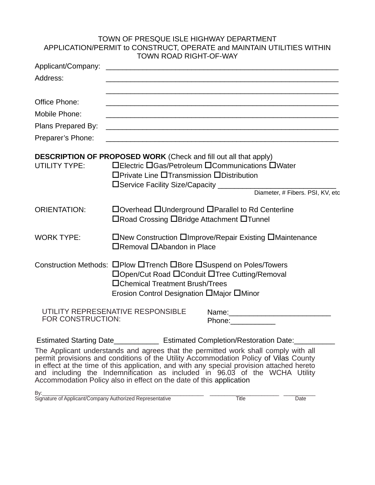## TOWN OF PRESQUE ISLE HIGHWAY DEPARTMENT APPLICATION/PERMIT to CONSTRUCT, OPERATE and MAINTAIN UTILITIES WITHIN TOWN ROAD RIGHT-OF-WAY

| Applicant/Company:   | <u> 1980 - Jan James James, martin amerikan basar da</u>                                                                                                                                            |  |  |  |
|----------------------|-----------------------------------------------------------------------------------------------------------------------------------------------------------------------------------------------------|--|--|--|
| Address:             |                                                                                                                                                                                                     |  |  |  |
| Office Phone:        |                                                                                                                                                                                                     |  |  |  |
| Mobile Phone:        |                                                                                                                                                                                                     |  |  |  |
| Plans Prepared By:   |                                                                                                                                                                                                     |  |  |  |
| Preparer's Phone:    | <u> 1989 - Johann Stoff, amerikansk politiker (d. 1989)</u>                                                                                                                                         |  |  |  |
|                      | <b>DESCRIPTION OF PROPOSED WORK</b> (Check and fill out all that apply)                                                                                                                             |  |  |  |
| <b>UTILITY TYPE:</b> | □Electric □Gas/Petroleum □Communications □Water<br>□Private Line □Transmission □Distribution<br>□ Service Facility Size/Capacity<br>Diameter, # Fibers. PSI, KV, etc                                |  |  |  |
| <b>ORIENTATION:</b>  | □Overhead □Underground □Parallel to Rd Centerline<br>□Road Crossing □Bridge Attachment □Tunnel                                                                                                      |  |  |  |
| <b>WORK TYPE:</b>    | □New Construction □Improve/Repair Existing □Maintenance<br>$\Box$ Removal $\Box$ Abandon in Place                                                                                                   |  |  |  |
|                      | Construction Methods: OPlow OTrench OBore OSuspend on Poles/Towers<br>□Open/Cut Road □Conduit □Tree Cutting/Removal<br>□Chemical Treatment Brush/Trees<br>Erosion Control Designation □Major □Minor |  |  |  |
| FOR CONSTRUCTION:    | UTILITY REPRESENATIVE RESPONSIBLE<br>Phone:_____________                                                                                                                                            |  |  |  |
|                      | Estimated Starting Date______________ Estimated Completion/Restoration Date:__________<br>The Applicant understands and agrees that the nermitted werk shall comply with all                        |  |  |  |

The Applicant understands and agrees that the permitted work shall comply with all permit provisions and conditions of the Utility Accommodation Policy of Vilas County in effect at the time of this application, and with any special provision attached hereto and including the Indemnification as included in 96.03 of the WCHA Utility Accommodation Policy also in effect on the date of this application

 $\mathsf{By}:\_\_\_\_\_\_\_\_\_\_\_\_\_\_$ Signature of Applicant/Company Authorized Representative **Times Accord Representative** Date